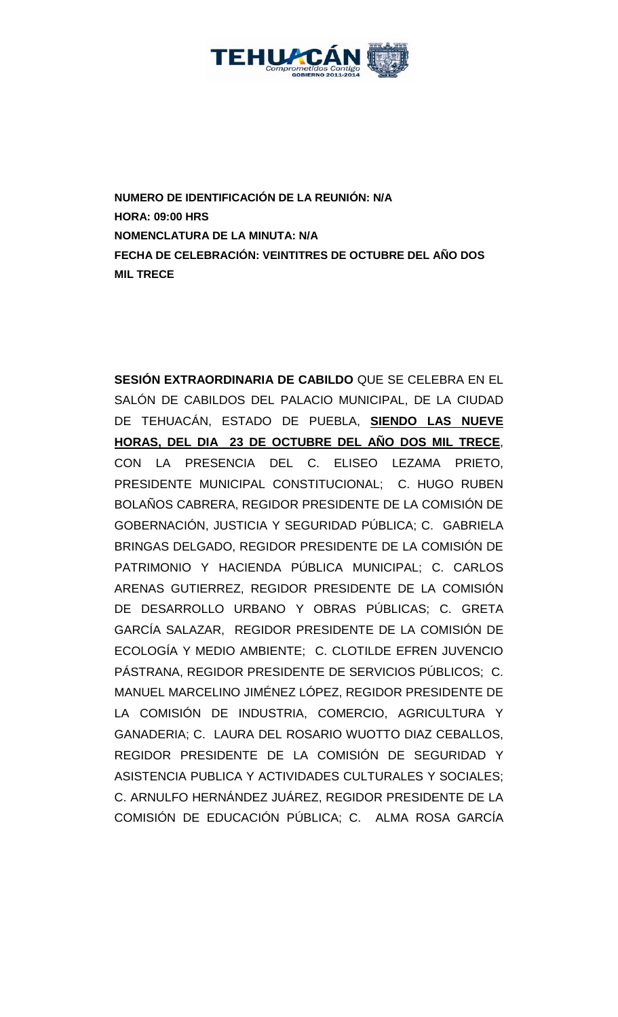

**NUMERO DE IDENTIFICACIÓN DE LA REUNIÓN: N/A HORA: 09:00 HRS NOMENCLATURA DE LA MINUTA: N/A FECHA DE CELEBRACIÓN: VEINTITRES DE OCTUBRE DEL AÑO DOS MIL TRECE** 

**SESIÓN EXTRAORDINARIA DE CABILDO** QUE SE CELEBRA EN EL SALÓN DE CABILDOS DEL PALACIO MUNICIPAL, DE LA CIUDAD DE TEHUACÁN, ESTADO DE PUEBLA, **SIENDO LAS NUEVE HORAS, DEL DIA 23 DE OCTUBRE DEL AÑO DOS MIL TRECE**, CON LA PRESENCIA DEL C. ELISEO LEZAMA PRIETO, PRESIDENTE MUNICIPAL CONSTITUCIONAL; C. HUGO RUBEN BOLAÑOS CABRERA, REGIDOR PRESIDENTE DE LA COMISIÓN DE GOBERNACIÓN, JUSTICIA Y SEGURIDAD PÚBLICA; C. GABRIELA BRINGAS DELGADO, REGIDOR PRESIDENTE DE LA COMISIÓN DE PATRIMONIO Y HACIENDA PÚBLICA MUNICIPAL; C. CARLOS ARENAS GUTIERREZ, REGIDOR PRESIDENTE DE LA COMISIÓN DE DESARROLLO URBANO Y OBRAS PÚBLICAS; C. GRETA GARCÍA SALAZAR, REGIDOR PRESIDENTE DE LA COMISIÓN DE ECOLOGÍA Y MEDIO AMBIENTE; C. CLOTILDE EFREN JUVENCIO PÁSTRANA, REGIDOR PRESIDENTE DE SERVICIOS PÚBLICOS; C. MANUEL MARCELINO JIMÉNEZ LÓPEZ, REGIDOR PRESIDENTE DE LA COMISIÓN DE INDUSTRIA, COMERCIO, AGRICULTURA Y GANADERIA; C. LAURA DEL ROSARIO WUOTTO DIAZ CEBALLOS, REGIDOR PRESIDENTE DE LA COMISIÓN DE SEGURIDAD Y ASISTENCIA PUBLICA Y ACTIVIDADES CULTURALES Y SOCIALES; C. ARNULFO HERNÁNDEZ JUÁREZ, REGIDOR PRESIDENTE DE LA COMISIÓN DE EDUCACIÓN PÚBLICA; C. ALMA ROSA GARCÍA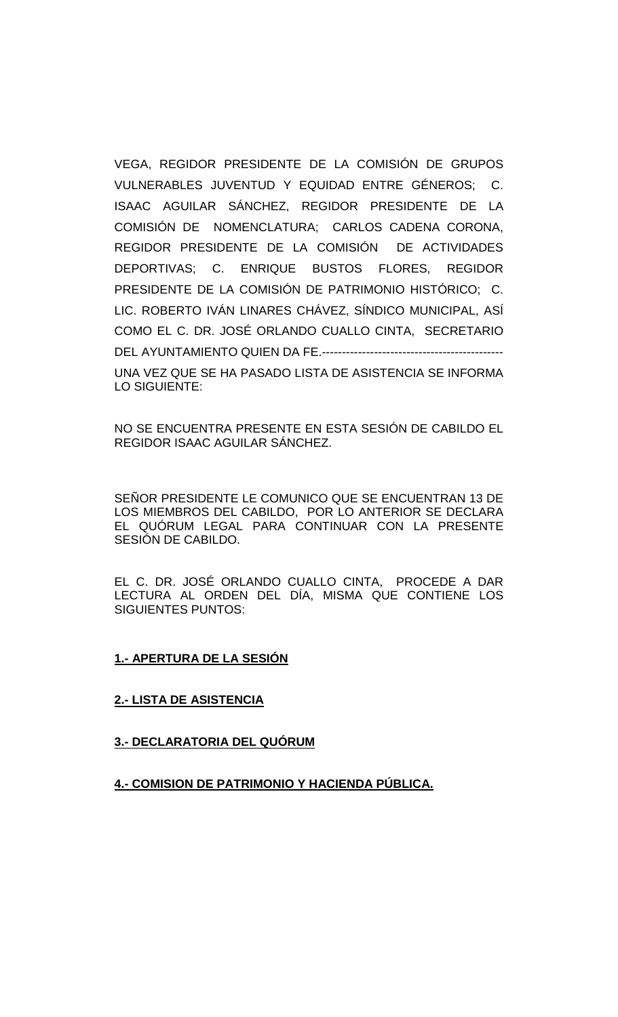VEGA, REGIDOR PRESIDENTE DE LA COMISIÓN DE GRUPOS VULNERABLES JUVENTUD Y EQUIDAD ENTRE GÉNEROS; C. ISAAC AGUILAR SÁNCHEZ, REGIDOR PRESIDENTE DE LA COMISIÓN DE NOMENCLATURA; CARLOS CADENA CORONA, REGIDOR PRESIDENTE DE LA COMISIÓN DE ACTIVIDADES DEPORTIVAS; C. ENRIQUE BUSTOS FLORES, REGIDOR PRESIDENTE DE LA COMISIÓN DE PATRIMONIO HISTÓRICO; C. LIC. ROBERTO IVÁN LINARES CHÁVEZ, SÍNDICO MUNICIPAL, ASÍ COMO EL C. DR. JOSÉ ORLANDO CUALLO CINTA, SECRETARIO DEL AYUNTAMIENTO QUIEN DA FE.--------------------------------------------- UNA VEZ QUE SE HA PASADO LISTA DE ASISTENCIA SE INFORMA LO SIGUIENTE:

NO SE ENCUENTRA PRESENTE EN ESTA SESIÓN DE CABILDO EL REGIDOR ISAAC AGUILAR SÁNCHEZ.

SEÑOR PRESIDENTE LE COMUNICO QUE SE ENCUENTRAN 13 DE LOS MIEMBROS DEL CABILDO, POR LO ANTERIOR SE DECLARA EL QUÓRUM LEGAL PARA CONTINUAR CON LA PRESENTE SESIÓN DE CABILDO.

EL C. DR. JOSÉ ORLANDO CUALLO CINTA, PROCEDE A DAR LECTURA AL ORDEN DEL DÍA, MISMA QUE CONTIENE LOS SIGUIENTES PUNTOS:

### **1.- APERTURA DE LA SESIÓN**

### **2.- LISTA DE ASISTENCIA**

### **3.- DECLARATORIA DEL QUÓRUM**

## **4.- COMISION DE PATRIMONIO Y HACIENDA PÚBLICA.**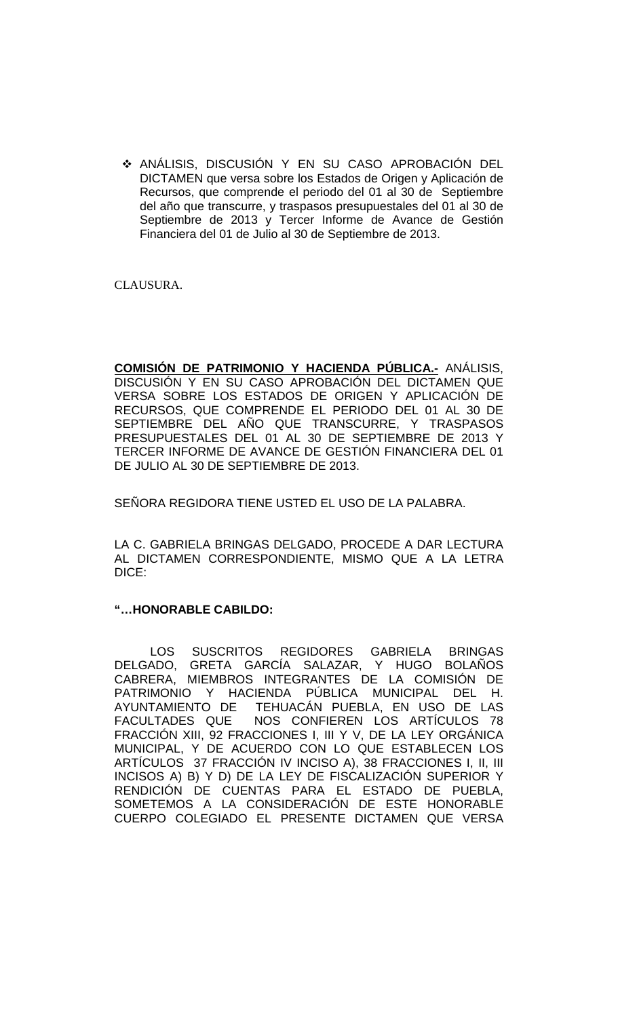ANÁLISIS, DISCUSIÓN Y EN SU CASO APROBACIÓN DEL DICTAMEN que versa sobre los Estados de Origen y Aplicación de Recursos, que comprende el periodo del 01 al 30 de Septiembre del año que transcurre, y traspasos presupuestales del 01 al 30 de Septiembre de 2013 y Tercer Informe de Avance de Gestión Financiera del 01 de Julio al 30 de Septiembre de 2013.

CLAUSURA.

**COMISIÓN DE PATRIMONIO Y HACIENDA PÚBLICA.-** ANÁLISIS, DISCUSIÓN Y EN SU CASO APROBACIÓN DEL DICTAMEN QUE VERSA SOBRE LOS ESTADOS DE ORIGEN Y APLICACIÓN DE RECURSOS, QUE COMPRENDE EL PERIODO DEL 01 AL 30 DE SEPTIEMBRE DEL AÑO QUE TRANSCURRE, Y TRASPASOS PRESUPUESTALES DEL 01 AL 30 DE SEPTIEMBRE DE 2013 Y TERCER INFORME DE AVANCE DE GESTIÓN FINANCIERA DEL 01 DE JULIO AL 30 DE SEPTIEMBRE DE 2013.

SEÑORA REGIDORA TIENE USTED EL USO DE LA PALABRA.

LA C. GABRIELA BRINGAS DELGADO, PROCEDE A DAR LECTURA AL DICTAMEN CORRESPONDIENTE, MISMO QUE A LA LETRA DICE:

## **"…HONORABLE CABILDO:**

LOS SUSCRITOS REGIDORES GABRIELA BRINGAS DELGADO, GRETA GARCÍA SALAZAR, Y HUGO BOLAÑOS CABRERA, MIEMBROS INTEGRANTES DE LA COMISIÓN DE PATRIMONIO Y HACIENDA PÚBLICA MUNICIPAL DEL H. AYUNTAMIENTO DE TEHUACÁN PUEBLA, EN USO DE LAS FACULTADES QUE NOS CONFIEREN LOS ARTÍCULOS 78 FRACCIÓN XIII, 92 FRACCIONES I, III Y V, DE LA LEY ORGÁNICA MUNICIPAL, Y DE ACUERDO CON LO QUE ESTABLECEN LOS ARTÍCULOS 37 FRACCIÓN IV INCISO A), 38 FRACCIONES I, II, III INCISOS A) B) Y D) DE LA LEY DE FISCALIZACIÓN SUPERIOR Y RENDICIÓN DE CUENTAS PARA EL ESTADO DE PUEBLA, SOMETEMOS A LA CONSIDERACIÓN DE ESTE HONORABLE CUERPO COLEGIADO EL PRESENTE DICTAMEN QUE VERSA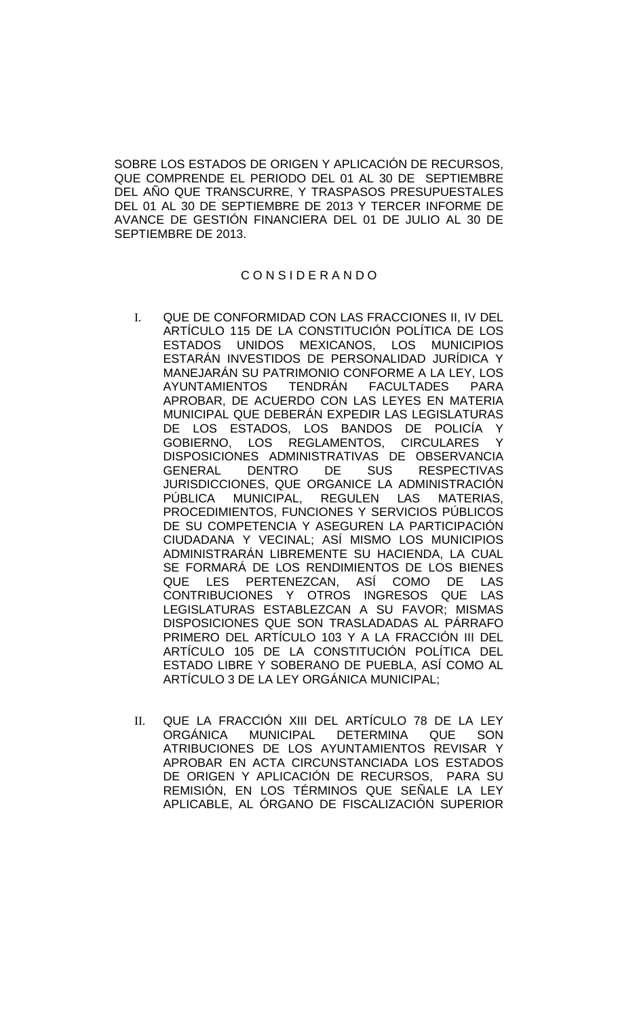SOBRE LOS ESTADOS DE ORIGEN Y APLICACIÓN DE RECURSOS, QUE COMPRENDE EL PERIODO DEL 01 AL 30 DE SEPTIEMBRE DEL AÑO QUE TRANSCURRE, Y TRASPASOS PRESUPUESTALES DEL 01 AL 30 DE SEPTIEMBRE DE 2013 Y TERCER INFORME DE AVANCE DE GESTIÓN FINANCIERA DEL 01 DE JULIO AL 30 DE SEPTIEMBRE DE 2013.

### C O N S I D E R A N D O

- I. QUE DE CONFORMIDAD CON LAS FRACCIONES II, IV DEL ARTÍCULO 115 DE LA CONSTITUCIÓN POLÍTICA DE LOS<br>ESTADOS UNIDOS MEXICANOS. LOS MUNICIPIOS UNIDOS MEXICANOS, LOS MUNICIPIOS ESTARÁN INVESTIDOS DE PERSONALIDAD JURÍDICA Y MANEJARÁN SU PATRIMONIO CONFORME A LA LEY, LOS AYUNTAMIENTOS TENDRÁN FACULTADES PARA APROBAR, DE ACUERDO CON LAS LEYES EN MATERIA MUNICIPAL QUE DEBERÁN EXPEDIR LAS LEGISLATURAS DE LOS ESTADOS, LOS BANDOS DE POLICÍA Y GOBIERNO, LOS REGLAMENTOS, CIRCULARES Y DISPOSICIONES ADMINISTRATIVAS DE OBSERVANCIA<br>GENERAL DENTRO DE SUS RESPECTIVAS GENERAL DENTRO DE SUS RESPECTIVAS JURISDICCIONES, QUE ORGANICE LA ADMINISTRACIÓN PÚBLICA MUNICIPAL, REGULEN LAS MATERIAS, PROCEDIMIENTOS, FUNCIONES Y SERVICIOS PÚBLICOS DE SU COMPETENCIA Y ASEGUREN LA PARTICIPACIÓN CIUDADANA Y VECINAL; ASÍ MISMO LOS MUNICIPIOS ADMINISTRARÁN LIBREMENTE SU HACIENDA, LA CUAL SE FORMARÁ DE LOS RENDIMIENTOS DE LOS BIENES<br>QUE LES PERTENEZCAN. ASÍ COMO DE LAS LES PERTENEZCAN, ASÍ COMO DE LAS CONTRIBUCIONES Y OTROS INGRESOS QUE LAS LEGISLATURAS ESTABLEZCAN A SU FAVOR; MISMAS DISPOSICIONES QUE SON TRASLADADAS AL PÁRRAFO PRIMERO DEL ARTÍCULO 103 Y A LA FRACCIÓN III DEL ARTÍCULO 105 DE LA CONSTITUCIÓN POLÍTICA DEL ESTADO LIBRE Y SOBERANO DE PUEBLA, ASÍ COMO AL ARTÍCULO 3 DE LA LEY ORGÁNICA MUNICIPAL;
- II. QUE LA FRACCIÓN XIII DEL ARTÍCULO 78 DE LA LEY ORGÁNICA MUNICIPAL DETERMINA QUE SON ATRIBUCIONES DE LOS AYUNTAMIENTOS REVISAR Y APROBAR EN ACTA CIRCUNSTANCIADA LOS ESTADOS DE ORIGEN Y APLICACIÓN DE RECURSOS, PARA SU REMISIÓN, EN LOS TÉRMINOS QUE SEÑALE LA LEY APLICABLE, AL ÓRGANO DE FISCALIZACIÓN SUPERIOR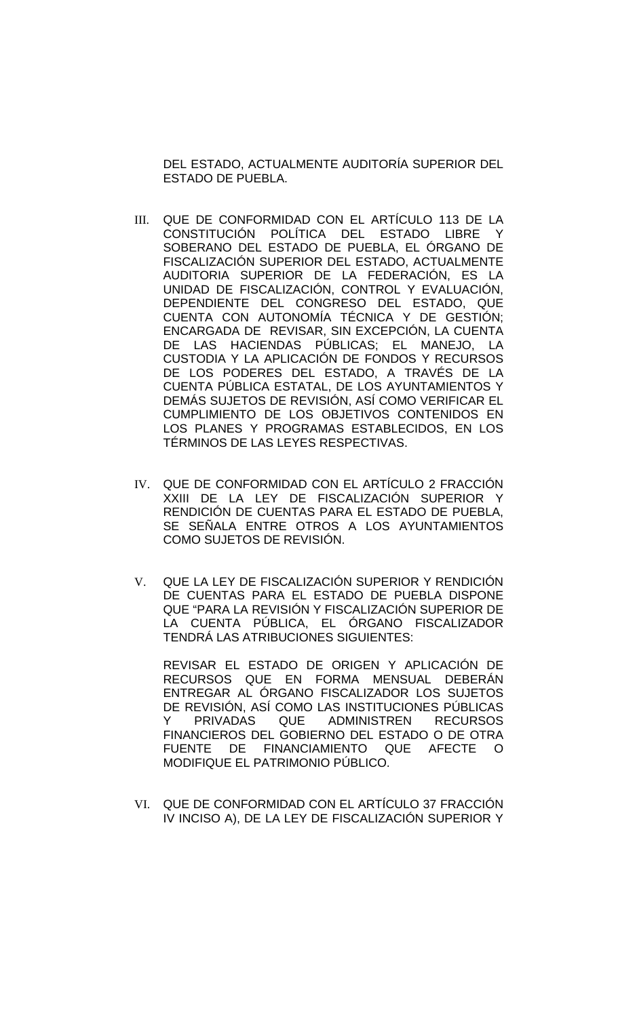DEL ESTADO, ACTUALMENTE AUDITORÍA SUPERIOR DEL ESTADO DE PUEBLA.

- III. QUE DE CONFORMIDAD CON EL ARTÍCULO 113 DE LA CONSTITUCIÓN POLÍTICA DEL ESTADO LIBRE Y SOBERANO DEL ESTADO DE PUEBLA, EL ÓRGANO DE FISCALIZACIÓN SUPERIOR DEL ESTADO, ACTUALMENTE AUDITORIA SUPERIOR DE LA FEDERACIÓN, ES LA UNIDAD DE FISCALIZACIÓN, CONTROL Y EVALUACIÓN, DEPENDIENTE DEL CONGRESO DEL ESTADO, QUE CUENTA CON AUTONOMÍA TÉCNICA Y DE GESTIÓN; ENCARGADA DE REVISAR, SIN EXCEPCIÓN, LA CUENTA DE LAS HACIENDAS PÚBLICAS; EL MANEJO, LA CUSTODIA Y LA APLICACIÓN DE FONDOS Y RECURSOS DE LOS PODERES DEL ESTADO, A TRAVÉS DE LA CUENTA PÚBLICA ESTATAL, DE LOS AYUNTAMIENTOS Y DEMÁS SUJETOS DE REVISIÓN, ASÍ COMO VERIFICAR EL CUMPLIMIENTO DE LOS OBJETIVOS CONTENIDOS EN LOS PLANES Y PROGRAMAS ESTABLECIDOS, EN LOS TÉRMINOS DE LAS LEYES RESPECTIVAS.
- IV. QUE DE CONFORMIDAD CON EL ARTÍCULO 2 FRACCIÓN XXIII DE LA LEY DE FISCALIZACIÓN SUPERIOR Y RENDICIÓN DE CUENTAS PARA EL ESTADO DE PUEBLA, SE SEÑALA ENTRE OTROS A LOS AYUNTAMIENTOS COMO SUJETOS DE REVISIÓN.
- V. QUE LA LEY DE FISCALIZACIÓN SUPERIOR Y RENDICIÓN DE CUENTAS PARA EL ESTADO DE PUEBLA DISPONE QUE "PARA LA REVISIÓN Y FISCALIZACIÓN SUPERIOR DE LA CUENTA PÚBLICA, EL ÓRGANO FISCALIZADOR TENDRÁ LAS ATRIBUCIONES SIGUIENTES:

REVISAR EL ESTADO DE ORIGEN Y APLICACIÓN DE RECURSOS QUE EN FORMA MENSUAL DEBERÁN ENTREGAR AL ÓRGANO FISCALIZADOR LOS SUJETOS DE REVISIÓN, ASÍ COMO LAS INSTITUCIONES PÚBLICAS Y PRIVADAS QUE ADMINISTREN RECURSOS FINANCIEROS DEL GOBIERNO DEL ESTADO O DE OTRA FUENTE DE FINANCIAMIENTO QUE AFECTE O MODIFIQUE EL PATRIMONIO PÚBLICO.

VI. QUE DE CONFORMIDAD CON EL ARTÍCULO 37 FRACCIÓN IV INCISO A), DE LA LEY DE FISCALIZACIÓN SUPERIOR Y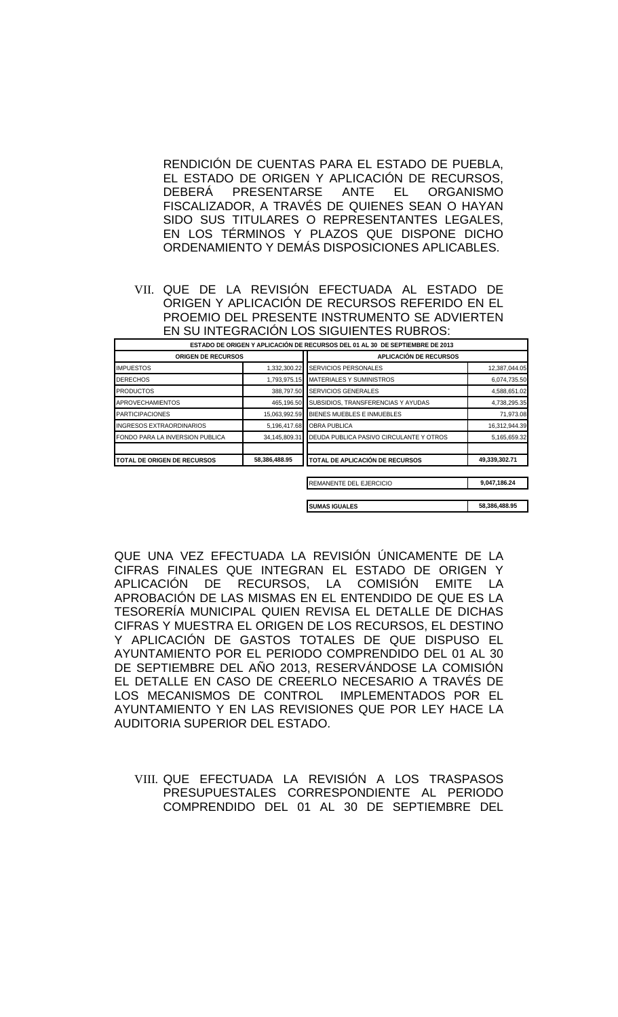RENDICIÓN DE CUENTAS PARA EL ESTADO DE PUEBLA, EL ESTADO DE ORIGEN Y APLICACIÓN DE RECURSOS,<br>DEBERÁ PRESENTARSE ANTE EL ORGANISMO DEBERÁ PRESENTARSE ANTE EL ORGANISMO FISCALIZADOR, A TRAVÉS DE QUIENES SEAN O HAYAN SIDO SUS TITULARES O REPRESENTANTES LEGALES, EN LOS TÉRMINOS Y PLAZOS QUE DISPONE DICHO ORDENAMIENTO Y DEMÁS DISPOSICIONES APLICABLES.

VII. QUE DE LA REVISIÓN EFECTUADA AL ESTADO DE ORIGEN Y APLICACIÓN DE RECURSOS REFERIDO EN EL PROEMIO DEL PRESENTE INSTRUMENTO SE ADVIERTEN EN SU INTEGRACIÓN LOS SIGUIENTES RUBROS:

|                                                     |               | ESTADO DE ORIGEN Y APLICACIÓN DE RECURSOS DEL 01 AL 30 DE SEPTIEMBRE DE 2013 |               |
|-----------------------------------------------------|---------------|------------------------------------------------------------------------------|---------------|
| <b>ORIGEN DE RECURSOS</b>                           |               | <b>APLICACIÓN DE RECURSOS</b>                                                |               |
| <b>IMPUESTOS</b>                                    | 1,332,300.22  | <b>SERVICIOS PERSONALES</b>                                                  | 12,387,044.05 |
| <b>DERECHOS</b>                                     | 1,793,975.15  | MATERIALES Y SUMINISTROS                                                     | 6,074,735.50  |
| <b>PRODUCTOS</b>                                    | 388,797.50    | <b>SERVICIOS GENERALES</b>                                                   | 4,588,651.02  |
| <b>APROVECHAMIENTOS</b>                             | 465,196.50    | SUBSIDIOS, TRANSFERENCIAS Y AYUDAS                                           | 4,738,295.35  |
| <b>PARTICIPACIONES</b>                              | 15,063,992.59 | BIENES MUEBLES E INMUEBLES                                                   | 71,973.08     |
| <b>INGRESOS EXTRAORDINARIOS</b>                     | 5,196,417.68  | <b>OBRA PUBLICA</b>                                                          | 16,312,944.39 |
| FONDO PARA LA INVERSION PUBLICA                     | 34,145,809.31 | <b>IDEUDA PUBLICA PASIVO CIRCULANTE Y OTROS</b>                              | 5,165,659.32  |
| 58,386,488.95<br><b>TOTAL DE ORIGEN DE RECURSOS</b> |               | TOTAL DE APLICACIÓN DE RECURSOS                                              | 49,339,302.71 |
|                                                     |               | REMANENTE DEL EJERCICIO                                                      | 9,047,186.24  |
|                                                     |               | <b>SUMAS IGUALES</b>                                                         | 58,386,488.95 |

QUE UNA VEZ EFECTUADA LA REVISIÓN ÚNICAMENTE DE LA CIFRAS FINALES QUE INTEGRAN EL ESTADO DE ORIGEN Y<br>APLICACIÓN DE RECURSOS. LA COMISIÓN EMITE LA RECURSOS, LA COMISIÓN EMITE LA APROBACIÓN DE LAS MISMAS EN EL ENTENDIDO DE QUE ES LA TESORERÍA MUNICIPAL QUIEN REVISA EL DETALLE DE DICHAS CIFRAS Y MUESTRA EL ORIGEN DE LOS RECURSOS, EL DESTINO Y APLICACIÓN DE GASTOS TOTALES DE QUE DISPUSO EL AYUNTAMIENTO POR EL PERIODO COMPRENDIDO DEL 01 AL 30 DE SEPTIEMBRE DEL AÑO 2013, RESERVÁNDOSE LA COMISIÓN EL DETALLE EN CASO DE CREERLO NECESARIO A TRAVÉS DE LOS MECANISMOS DE CONTROL IMPLEMENTADOS POR EL AYUNTAMIENTO Y EN LAS REVISIONES QUE POR LEY HACE LA AUDITORIA SUPERIOR DEL ESTADO.

VIII. QUE EFECTUADA LA REVISIÓN A LOS TRASPASOS PRESUPUESTALES CORRESPONDIENTE AL PERIODO COMPRENDIDO DEL 01 AL 30 DE SEPTIEMBRE DEL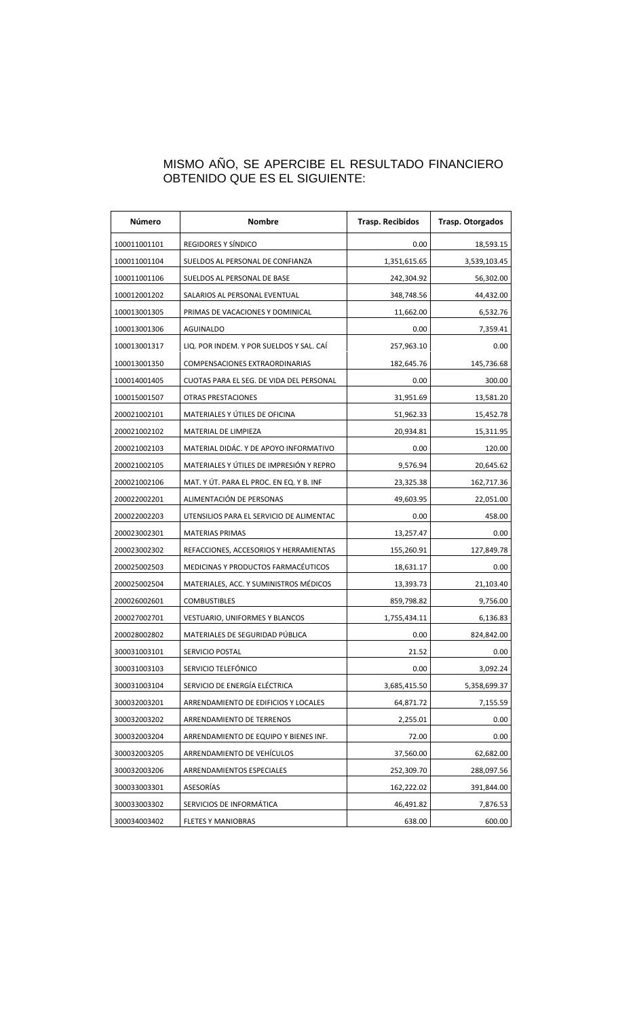## MISMO AÑO, SE APERCIBE EL RESULTADO FINANCIERO OBTENIDO QUE ES EL SIGUIENTE:

| <b>Número</b> | <b>Nombre</b>                            | <b>Trasp. Recibidos</b> | <b>Trasp. Otorgados</b> |
|---------------|------------------------------------------|-------------------------|-------------------------|
| 100011001101  | REGIDORES Y SÍNDICO                      | 0.00                    | 18,593.15               |
| 100011001104  | SUELDOS AL PERSONAL DE CONFIANZA         | 1,351,615.65            | 3,539,103.45            |
| 100011001106  | SUELDOS AL PERSONAL DE BASE              | 242,304.92              | 56,302.00               |
| 100012001202  | SALARIOS AL PERSONAL EVENTUAL            | 348,748.56              | 44,432.00               |
| 100013001305  | PRIMAS DE VACACIONES Y DOMINICAL         | 11,662.00               | 6,532.76                |
| 100013001306  | <b>AGUINALDO</b>                         | 0.00                    | 7,359.41                |
| 100013001317  | LIQ. POR INDEM. Y POR SUELDOS Y SAL. CAI | 257,963.10              | 0.00                    |
| 100013001350  | <b>COMPENSACIONES EXTRAORDINARIAS</b>    | 182,645.76              | 145,736.68              |
| 100014001405  | CUOTAS PARA EL SEG. DE VIDA DEL PERSONAL | 0.00                    | 300.00                  |
| 100015001507  | OTRAS PRESTACIONES                       | 31,951.69               | 13,581.20               |
| 200021002101  | MATERIALES Y ÚTILES DE OFICINA           | 51,962.33               | 15,452.78               |
| 200021002102  | MATERIAL DE LIMPIEZA                     | 20,934.81               | 15,311.95               |
| 200021002103  | MATERIAL DIDAC. Y DE APOYO INFORMATIVO   | 0.00                    | 120.00                  |
| 200021002105  | MATERIALES Y ÚTILES DE IMPRESIÓN Y REPRO | 9,576.94                | 20,645.62               |
| 200021002106  | MAT. Y ÚT. PARA EL PROC. EN EQ. Y B. INF | 23,325.38               | 162,717.36              |
| 200022002201  | ALIMENTACIÓN DE PERSONAS                 | 49,603.95               | 22,051.00               |
| 200022002203  | UTENSILIOS PARA EL SERVICIO DE ALIMENTAC | 0.00                    | 458.00                  |
| 200023002301  | <b>MATERIAS PRIMAS</b>                   | 13,257.47               | 0.00                    |
| 200023002302  | REFACCIONES, ACCESORIOS Y HERRAMIENTAS   | 155,260.91              | 127,849.78              |
| 200025002503  | MEDICINAS Y PRODUCTOS FARMACÉUTICOS      | 18,631.17               | 0.00                    |
| 200025002504  | MATERIALES, ACC. Y SUMINISTROS MÉDICOS   | 13,393.73               | 21,103.40               |
| 200026002601  | <b>COMBUSTIBLES</b>                      | 859,798.82              | 9,756.00                |
| 200027002701  | <b>VESTUARIO, UNIFORMES Y BLANCOS</b>    | 1,755,434.11            | 6,136.83                |
| 200028002802  | MATERIALES DE SEGURIDAD PÚBLICA          | 0.00                    | 824,842.00              |
| 300031003101  | SERVICIO POSTAL                          | 21.52                   | 0.00                    |
| 300031003103  | SERVICIO TELEFÓNICO                      | 0.00                    | 3,092.24                |
| 300031003104  | SERVICIO DE ENERGÍA ELÉCTRICA            | 3,685,415.50            | 5,358,699.37            |
| 300032003201  | ARRENDAMIENTO DE EDIFICIOS Y LOCALES     | 64,871.72               | 7,155.59                |
| 300032003202  | ARRENDAMIENTO DE TERRENOS                | 2,255.01                | 0.00                    |
| 300032003204  | ARRENDAMIENTO DE EQUIPO Y BIENES INF.    | 72.00                   | 0.00                    |
| 300032003205  | ARRENDAMIENTO DE VEHÍCULOS               | 37,560.00               | 62,682.00               |
| 300032003206  | ARRENDAMIENTOS ESPECIALES                | 252,309.70              | 288,097.56              |
| 300033003301  | ASESORÍAS                                | 162,222.02              | 391,844.00              |
| 300033003302  | SERVICIOS DE INFORMÁTICA                 | 46,491.82               | 7,876.53                |
| 300034003402  | <b>FLETES Y MANIOBRAS</b>                | 638.00                  | 600.00                  |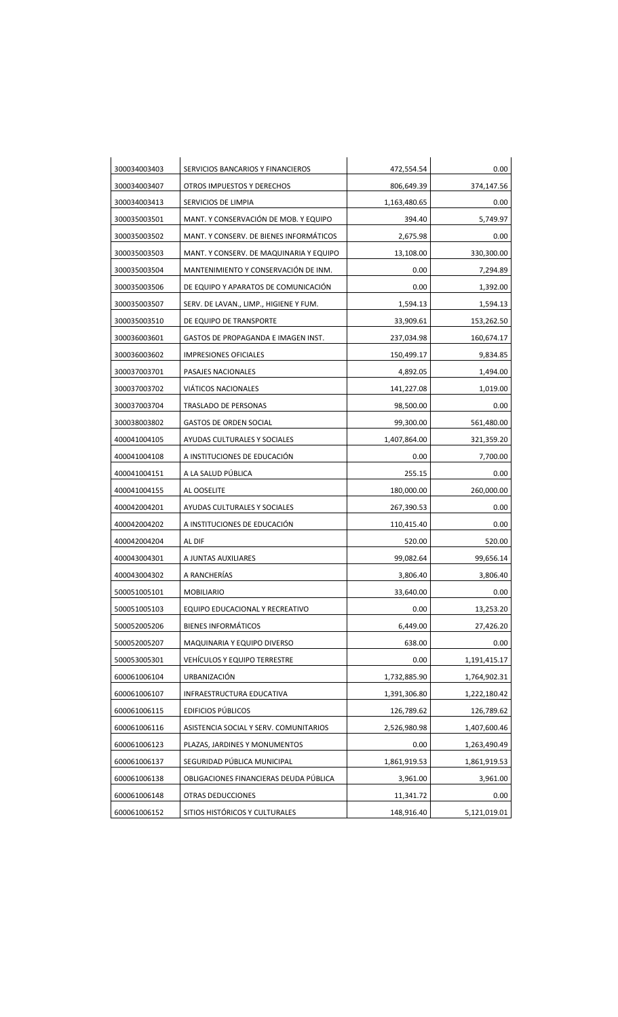| 300034003403 | SERVICIOS BANCARIOS Y FINANCIEROS       | 472,554.54   | 0.00         |
|--------------|-----------------------------------------|--------------|--------------|
| 300034003407 | OTROS IMPUESTOS Y DERECHOS              | 806,649.39   | 374,147.56   |
| 300034003413 | SERVICIOS DE LIMPIA                     | 1,163,480.65 | 0.00         |
| 300035003501 | MANT. Y CONSERVACIÓN DE MOB. Y EQUIPO   | 394.40       | 5,749.97     |
| 300035003502 | MANT. Y CONSERV. DE BIENES INFORMÁTICOS | 2,675.98     | 0.00         |
| 300035003503 | MANT. Y CONSERV. DE MAQUINARIA Y EQUIPO | 13,108.00    | 330,300.00   |
| 300035003504 | MANTENIMIENTO Y CONSERVACIÓN DE INM.    | 0.00         | 7,294.89     |
| 300035003506 | DE EQUIPO Y APARATOS DE COMUNICACIÓN    | 0.00         | 1,392.00     |
| 300035003507 | SERV. DE LAVAN., LIMP., HIGIENE Y FUM.  | 1,594.13     | 1,594.13     |
| 300035003510 | DE EQUIPO DE TRANSPORTE                 | 33,909.61    | 153,262.50   |
| 300036003601 | GASTOS DE PROPAGANDA E IMAGEN INST.     | 237,034.98   | 160,674.17   |
| 300036003602 | <b>IMPRESIONES OFICIALES</b>            | 150,499.17   | 9,834.85     |
| 300037003701 | PASAJES NACIONALES                      | 4,892.05     | 1,494.00     |
| 300037003702 | <b>VIÁTICOS NACIONALES</b>              | 141,227.08   | 1,019.00     |
| 300037003704 | <b>TRASLADO DE PERSONAS</b>             | 98,500.00    | 0.00         |
| 300038003802 | <b>GASTOS DE ORDEN SOCIAL</b>           | 99,300.00    | 561,480.00   |
| 400041004105 | AYUDAS CULTURALES Y SOCIALES            | 1,407,864.00 | 321,359.20   |
| 400041004108 | A INSTITUCIONES DE EDUCACIÓN            | 0.00         | 7,700.00     |
| 400041004151 | A LA SALUD PÚBLICA                      | 255.15       | 0.00         |
| 400041004155 | AL OOSELITE                             | 180,000.00   | 260,000.00   |
| 400042004201 | AYUDAS CULTURALES Y SOCIALES            | 267,390.53   | 0.00         |
| 400042004202 | A INSTITUCIONES DE EDUCACIÓN            | 110,415.40   | 0.00         |
| 400042004204 | AL DIF                                  | 520.00       | 520.00       |
| 400043004301 | A JUNTAS AUXILIARES                     | 99,082.64    | 99,656.14    |
| 400043004302 | A RANCHERÍAS                            | 3,806.40     | 3,806.40     |
| 500051005101 | <b>MOBILIARIO</b>                       | 33,640.00    | 0.00         |
| 500051005103 | EQUIPO EDUCACIONAL Y RECREATIVO         | 0.00         | 13,253.20    |
| 500052005206 | <b>BIENES INFORMÁTICOS</b>              | 6,449.00     | 27,426.20    |
| 500052005207 | MAQUINARIA Y EQUIPO DIVERSO             | 638.00       | 0.00         |
| 500053005301 | <b>VEHÍCULOS Y EQUIPO TERRESTRE</b>     | 0.00         | 1,191,415.17 |
| 600061006104 | URBANIZACIÓN                            | 1,732,885.90 | 1,764,902.31 |
| 600061006107 | INFRAESTRUCTURA EDUCATIVA               | 1,391,306.80 | 1,222,180.42 |
| 600061006115 | <b>EDIFICIOS PÚBLICOS</b>               | 126,789.62   | 126,789.62   |
| 600061006116 | ASISTENCIA SOCIAL Y SERV. COMUNITARIOS  | 2,526,980.98 | 1,407,600.46 |
| 600061006123 | PLAZAS, JARDINES Y MONUMENTOS           | 0.00         | 1,263,490.49 |
| 600061006137 | SEGURIDAD PÚBLICA MUNICIPAL             | 1,861,919.53 | 1,861,919.53 |
| 600061006138 | OBLIGACIONES FINANCIERAS DEUDA PÚBLICA  | 3,961.00     | 3,961.00     |
| 600061006148 | OTRAS DEDUCCIONES                       | 11,341.72    | 0.00         |
| 600061006152 | SITIOS HISTÓRICOS Y CULTURALES          | 148,916.40   | 5,121,019.01 |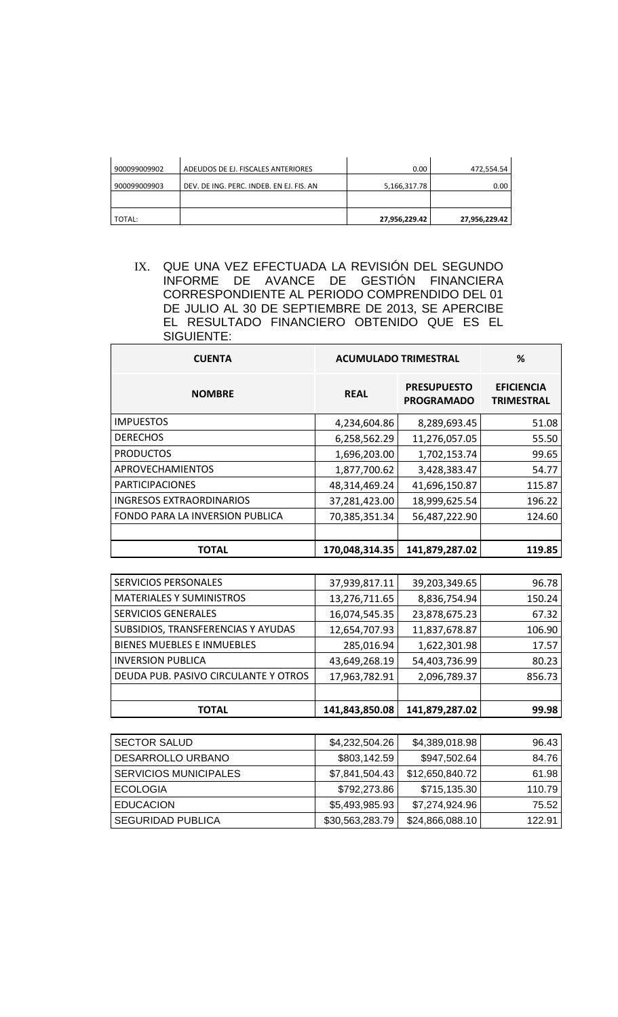| 900099009902 | ADEUDOS DE EJ. FISCALES ANTERIORES       | 0.00          | 472,554.54    |
|--------------|------------------------------------------|---------------|---------------|
| 900099009903 | DEV. DE ING. PERC. INDEB. EN EJ. FIS. AN | 5,166,317.78  | 0.00          |
|              |                                          |               |               |
| TOTAL:       |                                          | 27,956,229.42 | 27,956,229.42 |

IX. QUE UNA VEZ EFECTUADA LA REVISIÓN DEL SEGUNDO INFORME DE AVANCE DE GESTIÓN FINANCIERA CORRESPONDIENTE AL PERIODO COMPRENDIDO DEL 01 DE JULIO AL 30 DE SEPTIEMBRE DE 2013, SE APERCIBE EL RESULTADO FINANCIERO OBTENIDO QUE ES EL SIGUIENTE:

| <b>CUENTA</b>                   | <b>ACUMULADO TRIMESTRAL</b> |                                         | ℅                                      |
|---------------------------------|-----------------------------|-----------------------------------------|----------------------------------------|
| <b>NOMBRE</b>                   | <b>REAL</b>                 | <b>PRESUPUESTO</b><br><b>PROGRAMADO</b> | <b>EFICIENCIA</b><br><b>TRIMESTRAL</b> |
| <b>IMPUESTOS</b>                | 4,234,604.86                | 8,289,693.45                            | 51.08                                  |
| <b>DERECHOS</b>                 | 6,258,562.29                | 11,276,057.05                           | 55.50                                  |
| <b>PRODUCTOS</b>                | 1,696,203.00                | 1,702,153.74                            | 99.65                                  |
| APROVECHAMIENTOS                | 1,877,700.62                | 3,428,383.47                            | 54.77                                  |
| <b>PARTICIPACIONES</b>          | 48,314,469.24               | 41,696,150.87                           | 115.87                                 |
| <b>INGRESOS EXTRAORDINARIOS</b> | 37,281,423.00               | 18,999,625.54                           | 196.22                                 |
| FONDO PARA LA INVERSION PUBLICA | 70,385,351.34               | 56,487,222.90                           | 124.60                                 |
|                                 |                             |                                         |                                        |
| <b>TOTAL</b>                    | 170,048,314.35              | 141,879,287.02                          | 119.85                                 |

| TOTAL                                | 141,843,850.08 | 141,879,287.02 | 99.98  |
|--------------------------------------|----------------|----------------|--------|
|                                      |                |                |        |
| DEUDA PUB. PASIVO CIRCULANTE Y OTROS | 17,963,782.91  | 2,096,789.37   | 856.73 |
| <b>INVERSION PUBLICA</b>             | 43,649,268.19  | 54,403,736.99  | 80.23  |
| <b>BIENES MUEBLES E INMUEBLES</b>    | 285,016.94     | 1,622,301.98   | 17.57  |
| SUBSIDIOS, TRANSFERENCIAS Y AYUDAS   | 12,654,707.93  | 11,837,678.87  | 106.90 |
| <b>SERVICIOS GENERALES</b>           | 16,074,545.35  | 23,878,675.23  | 67.32  |
| <b>MATERIALES Y SUMINISTROS</b>      | 13,276,711.65  | 8,836,754.94   | 150.24 |
| <b>SERVICIOS PERSONALES</b>          | 37,939,817.11  | 39,203,349.65  | 96.78  |

| <b>SECTOR SALUD</b>          | \$4,232,504.26  | \$4,389,018.98  | 96.43  |
|------------------------------|-----------------|-----------------|--------|
| DESARROLLO URBANO            | \$803,142.59    | \$947,502.64    | 84.76  |
| <b>SERVICIOS MUNICIPALES</b> | \$7,841,504.43  | \$12,650,840.72 | 61.98  |
| <b>ECOLOGIA</b>              | \$792,273.86    | \$715,135.30    | 110.79 |
| <b>EDUCACION</b>             | \$5,493,985.93  | \$7,274,924.96  | 75.52  |
| <b>SEGURIDAD PUBLICA</b>     | \$30,563,283.79 | \$24,866,088.10 | 122.91 |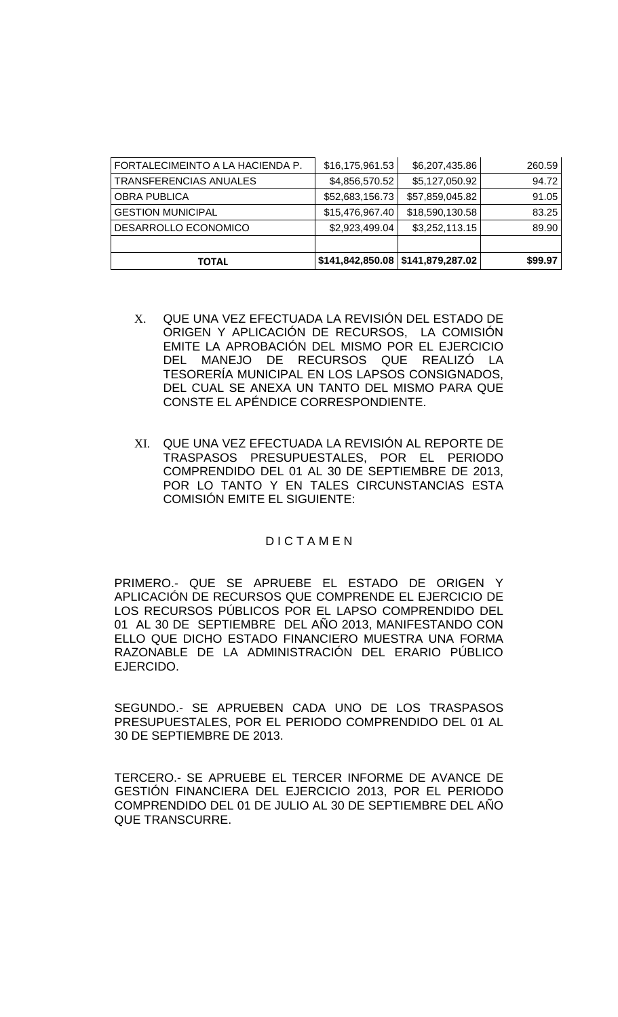| FORTALECIMEINTO A LA HACIENDA P. | \$16,175,961.53 | \$6,207,435.86                         | 260.59  |
|----------------------------------|-----------------|----------------------------------------|---------|
| TRANSFERENCIAS ANUALES           | \$4,856,570.52  | \$5,127,050.92                         | 94.72   |
| <b>OBRA PUBLICA</b>              | \$52,683,156.73 | \$57,859,045.82                        | 91.05   |
| <b>GESTION MUNICIPAL</b>         | \$15,476,967.40 | \$18,590,130.58                        | 83.25   |
| DESARROLLO ECONOMICO             | \$2,923,499.04  | \$3,252,113.15                         | 89.90   |
|                                  |                 |                                        |         |
| <b>TOTAL</b>                     |                 | $$141,842,850.08 \mid $141,879,287.02$ | \$99.97 |

- X. QUE UNA VEZ EFECTUADA LA REVISIÓN DEL ESTADO DE ORIGEN Y APLICACIÓN DE RECURSOS, LA COMISIÓN EMITE LA APROBACIÓN DEL MISMO POR EL EJERCICIO DEL MANEJO DE RECURSOS QUE REALIZÓ LA TESORERÍA MUNICIPAL EN LOS LAPSOS CONSIGNADOS, DEL CUAL SE ANEXA UN TANTO DEL MISMO PARA QUE CONSTE EL APÉNDICE CORRESPONDIENTE.
- XI. QUE UNA VEZ EFECTUADA LA REVISIÓN AL REPORTE DE TRASPASOS PRESUPUESTALES, POR EL PERIODO COMPRENDIDO DEL 01 AL 30 DE SEPTIEMBRE DE 2013, POR LO TANTO Y EN TALES CIRCUNSTANCIAS ESTA COMISIÓN EMITE EL SIGUIENTE:

### D I C T A M E N

PRIMERO.- QUE SE APRUEBE EL ESTADO DE ORIGEN Y APLICACIÓN DE RECURSOS QUE COMPRENDE EL EJERCICIO DE LOS RECURSOS PÚBLICOS POR EL LAPSO COMPRENDIDO DEL 01 AL 30 DE SEPTIEMBRE DEL AÑO 2013, MANIFESTANDO CON ELLO QUE DICHO ESTADO FINANCIERO MUESTRA UNA FORMA RAZONABLE DE LA ADMINISTRACIÓN DEL ERARIO PÚBLICO EJERCIDO.

SEGUNDO.- SE APRUEBEN CADA UNO DE LOS TRASPASOS PRESUPUESTALES, POR EL PERIODO COMPRENDIDO DEL 01 AL 30 DE SEPTIEMBRE DE 2013.

TERCERO.- SE APRUEBE EL TERCER INFORME DE AVANCE DE GESTIÓN FINANCIERA DEL EJERCICIO 2013, POR EL PERIODO COMPRENDIDO DEL 01 DE JULIO AL 30 DE SEPTIEMBRE DEL AÑO QUE TRANSCURRE.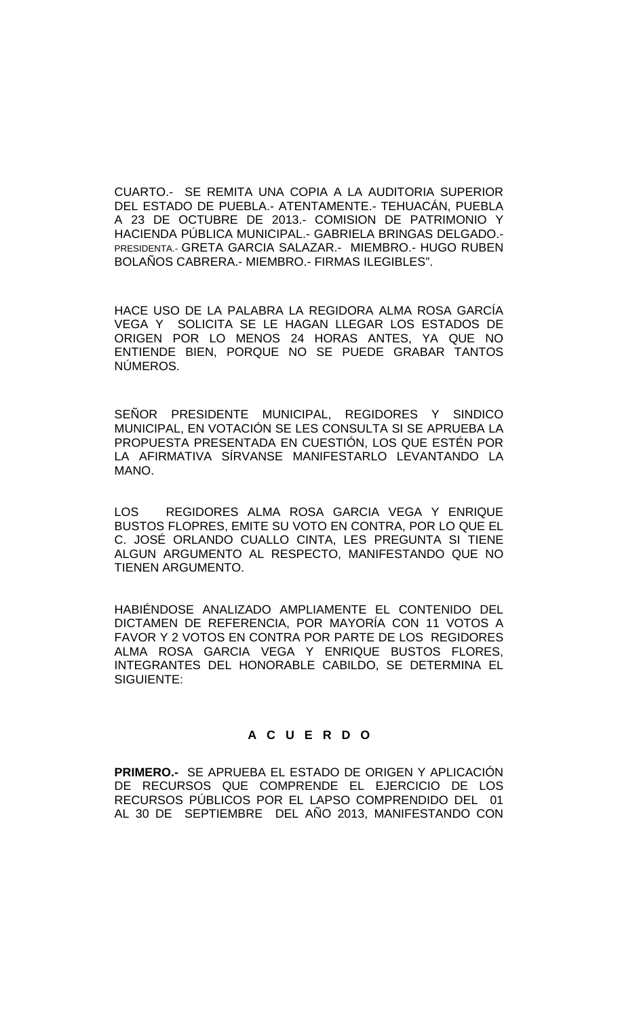CUARTO.- SE REMITA UNA COPIA A LA AUDITORIA SUPERIOR DEL ESTADO DE PUEBLA.- ATENTAMENTE.- TEHUACÁN, PUEBLA A 23 DE OCTUBRE DE 2013.- COMISION DE PATRIMONIO Y HACIENDA PÚBLICA MUNICIPAL.- GABRIELA BRINGAS DELGADO.- PRESIDENTA.- GRETA GARCIA SALAZAR.- MIEMBRO.- HUGO RUBEN BOLAÑOS CABRERA.- MIEMBRO.- FIRMAS ILEGIBLES".

HACE USO DE LA PALABRA LA REGIDORA ALMA ROSA GARCÍA VEGA Y SOLICITA SE LE HAGAN LLEGAR LOS ESTADOS DE ORIGEN POR LO MENOS 24 HORAS ANTES, YA QUE NO ENTIENDE BIEN, PORQUE NO SE PUEDE GRABAR TANTOS NÚMEROS.

SEÑOR PRESIDENTE MUNICIPAL, REGIDORES Y SINDICO MUNICIPAL, EN VOTACIÓN SE LES CONSULTA SI SE APRUEBA LA PROPUESTA PRESENTADA EN CUESTIÓN, LOS QUE ESTÉN POR LA AFIRMATIVA SÍRVANSE MANIFESTARLO LEVANTANDO LA MANO.

LOS REGIDORES ALMA ROSA GARCIA VEGA Y ENRIQUE BUSTOS FLOPRES, EMITE SU VOTO EN CONTRA, POR LO QUE EL C. JOSÉ ORLANDO CUALLO CINTA, LES PREGUNTA SI TIENE ALGUN ARGUMENTO AL RESPECTO, MANIFESTANDO QUE NO TIENEN ARGUMENTO.

HABIÉNDOSE ANALIZADO AMPLIAMENTE EL CONTENIDO DEL DICTAMEN DE REFERENCIA, POR MAYORÍA CON 11 VOTOS A FAVOR Y 2 VOTOS EN CONTRA POR PARTE DE LOS REGIDORES ALMA ROSA GARCIA VEGA Y ENRIQUE BUSTOS FLORES, INTEGRANTES DEL HONORABLE CABILDO, SE DETERMINA EL SIGUIENTE:

# **A C U E R D O**

**PRIMERO.-** SE APRUEBA EL ESTADO DE ORIGEN Y APLICACIÓN DE RECURSOS QUE COMPRENDE EL EJERCICIO DE LOS RECURSOS PÚBLICOS POR EL LAPSO COMPRENDIDO DEL 01 AL 30 DE SEPTIEMBRE DEL AÑO 2013, MANIFESTANDO CON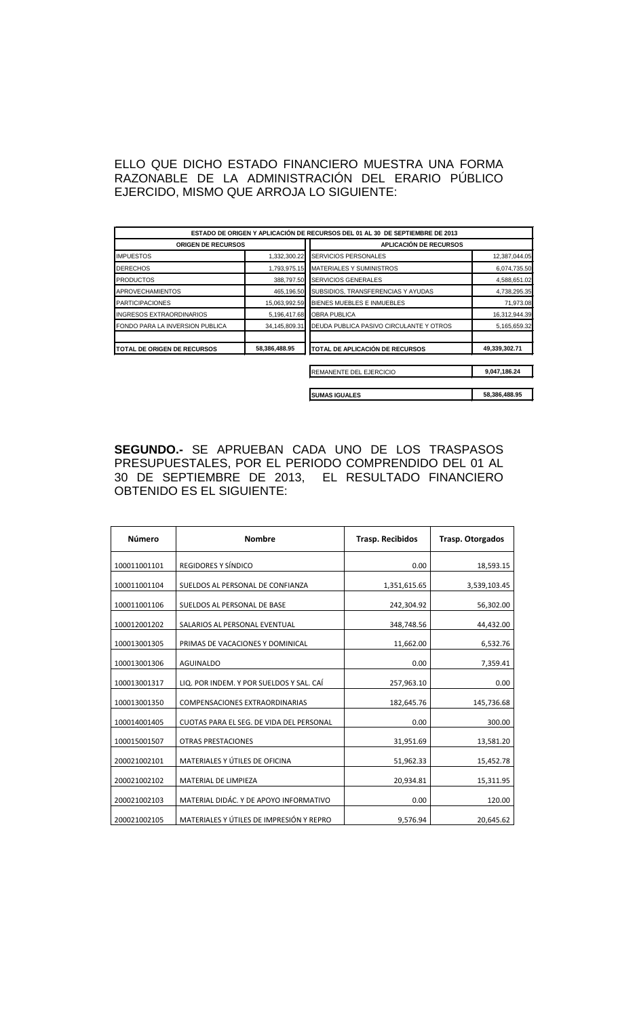ELLO QUE DICHO ESTADO FINANCIERO MUESTRA UNA FORMA RAZONABLE DE LA ADMINISTRACIÓN DEL ERARIO PÚBLICO EJERCIDO, MISMO QUE ARROJA LO SIGUIENTE:

|                                 |               | ESTADO DE ORIGEN Y APLICACIÓN DE RECURSOS DEL 01 AL 30 DE SEPTIEMBRE DE 2013 |               |
|---------------------------------|---------------|------------------------------------------------------------------------------|---------------|
| <b>ORIGEN DE RECURSOS</b>       |               | <b>APLICACIÓN DE RECURSOS</b>                                                |               |
| <b>IMPUESTOS</b>                | 1,332,300.22  | SERVICIOS PERSONALES<br>12,387,044.05                                        |               |
| <b>DERECHOS</b>                 | 1,793,975.15  | <b>MATERIALES Y SUMINISTROS</b>                                              | 6,074,735.50  |
| <b>PRODUCTOS</b>                | 388,797.50    | <b>SERVICIOS GENERALES</b>                                                   | 4,588,651.02  |
| <b>APROVECHAMIENTOS</b>         | 465,196.50    | SUBSIDIOS, TRANSFERENCIAS Y AYUDAS                                           | 4,738,295.35  |
| <b>PARTICIPACIONES</b>          | 15,063,992.59 | BIENES MUEBLES E INMUEBLES                                                   | 71,973.08     |
| INGRESOS EXTRAORDINARIOS        | 5,196,417.68  | <b>OBRA PUBLICA</b>                                                          | 16,312,944.39 |
| FONDO PARA LA INVERSION PUBLICA | 34,145,809.31 | DEUDA PUBLICA PASIVO CIRCULANTE Y OTROS                                      | 5,165,659.32  |
| TOTAL DE ORIGEN DE RECURSOS     | 58,386,488.95 | <b>TOTAL DE APLICACIÓN DE RECURSOS</b>                                       | 49,339,302.71 |
|                                 |               | REMANENTE DEL EJERCICIO                                                      | 9,047,186.24  |
|                                 |               | <b>SUMAS IGUALES</b>                                                         | 58,386,488.95 |

**SEGUNDO.-** SE APRUEBAN CADA UNO DE LOS TRASPASOS PRESUPUESTALES, POR EL PERIODO COMPRENDIDO DEL 01 AL 30 DE SEPTIEMBRE DE 2013, EL RESULTADO FINANCIERO OBTENIDO ES EL SIGUIENTE:

| Número       | <b>Nombre</b>                            | <b>Trasp. Recibidos</b> | <b>Trasp. Otorgados</b> |
|--------------|------------------------------------------|-------------------------|-------------------------|
| 100011001101 | REGIDORES Y SÍNDICO                      | 0.00                    | 18,593.15               |
| 100011001104 | SUELDOS AL PERSONAL DE CONFIANZA         | 1,351,615.65            | 3,539,103.45            |
| 100011001106 | SUELDOS AL PERSONAL DE BASE              | 242,304.92              | 56,302.00               |
| 100012001202 | SALARIOS AL PERSONAL EVENTUAL            | 348,748.56              | 44,432.00               |
| 100013001305 | PRIMAS DE VACACIONES Y DOMINICAL         | 11,662.00               | 6,532.76                |
| 100013001306 | <b>AGUINALDO</b>                         | 0.00                    | 7,359.41                |
| 100013001317 | LIQ. POR INDEM. Y POR SUELDOS Y SAL. CAÍ | 257,963.10              | 0.00                    |
| 100013001350 | <b>COMPENSACIONES EXTRAORDINARIAS</b>    | 182,645.76              | 145,736.68              |
| 100014001405 | CUOTAS PARA EL SEG. DE VIDA DEL PERSONAL | 0.00                    | 300.00                  |
| 100015001507 | <b>OTRAS PRESTACIONES</b>                | 31,951.69               | 13,581.20               |
| 200021002101 | MATERIALES Y ÚTILES DE OFICINA           | 51,962.33               | 15,452.78               |
| 200021002102 | MATERIAL DE LIMPIEZA                     | 20,934.81               | 15,311.95               |
| 200021002103 | MATERIAL DIDÁC. Y DE APOYO INFORMATIVO   | 0.00                    | 120.00                  |
| 200021002105 | MATERIALES Y ÚTILES DE IMPRESIÓN Y REPRO | 9,576.94                | 20,645.62               |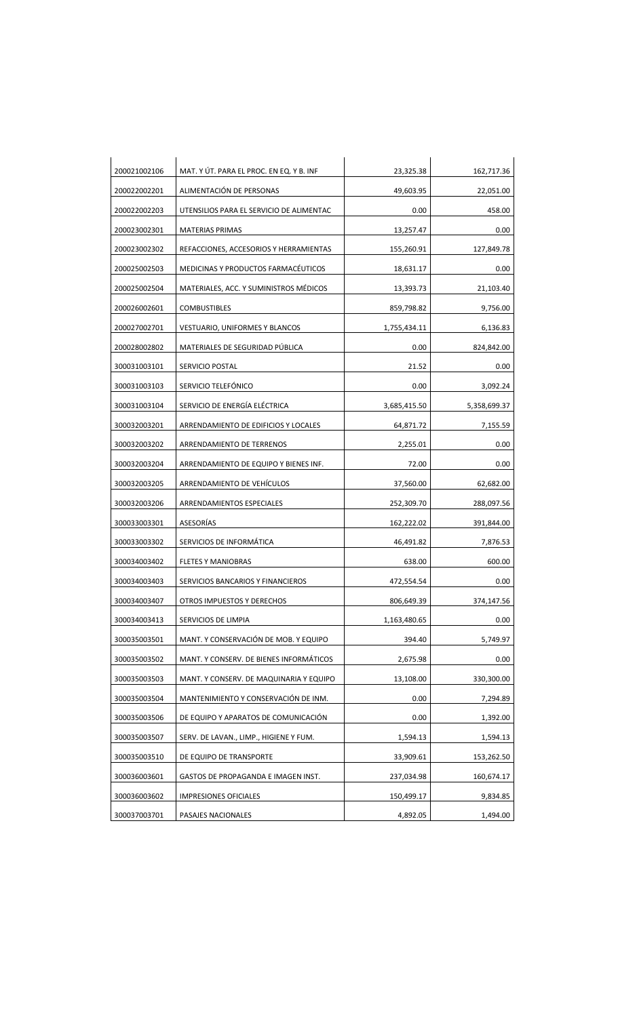| 200021002106 | MAT. Y ÚT. PARA EL PROC. EN EQ. Y B. INF | 23,325.38    | 162,717.36   |
|--------------|------------------------------------------|--------------|--------------|
| 200022002201 | ALIMENTACIÓN DE PERSONAS                 | 49,603.95    | 22,051.00    |
| 200022002203 | UTENSILIOS PARA EL SERVICIO DE ALIMENTAC | 0.00         | 458.00       |
| 200023002301 | <b>MATERIAS PRIMAS</b>                   | 13,257.47    | 0.00         |
| 200023002302 | REFACCIONES, ACCESORIOS Y HERRAMIENTAS   | 155,260.91   | 127,849.78   |
| 200025002503 | MEDICINAS Y PRODUCTOS FARMACÉUTICOS      | 18,631.17    | 0.00         |
| 200025002504 | MATERIALES, ACC. Y SUMINISTROS MÉDICOS   | 13,393.73    | 21,103.40    |
| 200026002601 | <b>COMBUSTIBLES</b>                      | 859,798.82   | 9,756.00     |
| 200027002701 | <b>VESTUARIO, UNIFORMES Y BLANCOS</b>    | 1,755,434.11 | 6,136.83     |
| 200028002802 | MATERIALES DE SEGURIDAD PÚBLICA          | 0.00         | 824,842.00   |
| 300031003101 | SERVICIO POSTAL                          | 21.52        | 0.00         |
| 300031003103 | SERVICIO TELEFÓNICO                      | 0.00         | 3,092.24     |
| 300031003104 | SERVICIO DE ENERGÍA ELÉCTRICA            | 3,685,415.50 | 5,358,699.37 |
| 300032003201 | ARRENDAMIENTO DE EDIFICIOS Y LOCALES     | 64,871.72    | 7,155.59     |
| 300032003202 | ARRENDAMIENTO DE TERRENOS                | 2,255.01     | 0.00         |
| 300032003204 | ARRENDAMIENTO DE EQUIPO Y BIENES INF.    | 72.00        | 0.00         |
| 300032003205 | ARRENDAMIENTO DE VEHÍCULOS               | 37,560.00    | 62,682.00    |
| 300032003206 | ARRENDAMIENTOS ESPECIALES                | 252,309.70   | 288,097.56   |
| 300033003301 | ASESORÍAS                                | 162,222.02   | 391,844.00   |
| 300033003302 | SERVICIOS DE INFORMÁTICA                 | 46,491.82    | 7,876.53     |
| 300034003402 | <b>FLETES Y MANIOBRAS</b>                | 638.00       | 600.00       |
| 300034003403 | SERVICIOS BANCARIOS Y FINANCIEROS        | 472,554.54   | 0.00         |
| 300034003407 | OTROS IMPUESTOS Y DERECHOS               | 806,649.39   | 374,147.56   |
| 300034003413 | SERVICIOS DE LIMPIA                      | 1,163,480.65 | 0.00         |
| 300035003501 | MANT. Y CONSERVACIÓN DE MOB. Y EQUIPO    | 394.40       | 5,749.97     |
| 300035003502 | MANT. Y CONSERV. DE BIENES INFORMÁTICOS  | 2,675.98     | 0.00         |
| 300035003503 | MANT. Y CONSERV. DE MAQUINARIA Y EQUIPO  | 13,108.00    | 330,300.00   |
| 300035003504 | MANTENIMIENTO Y CONSERVACIÓN DE INM.     | 0.00         | 7,294.89     |
| 300035003506 | DE EQUIPO Y APARATOS DE COMUNICACIÓN     | 0.00         | 1,392.00     |
| 300035003507 | SERV. DE LAVAN., LIMP., HIGIENE Y FUM.   | 1,594.13     | 1,594.13     |
| 300035003510 | DE EQUIPO DE TRANSPORTE                  | 33,909.61    | 153,262.50   |
| 300036003601 | GASTOS DE PROPAGANDA E IMAGEN INST.      | 237,034.98   | 160,674.17   |
| 300036003602 | <b>IMPRESIONES OFICIALES</b>             | 150,499.17   | 9,834.85     |
| 300037003701 | PASAJES NACIONALES                       | 4,892.05     | 1,494.00     |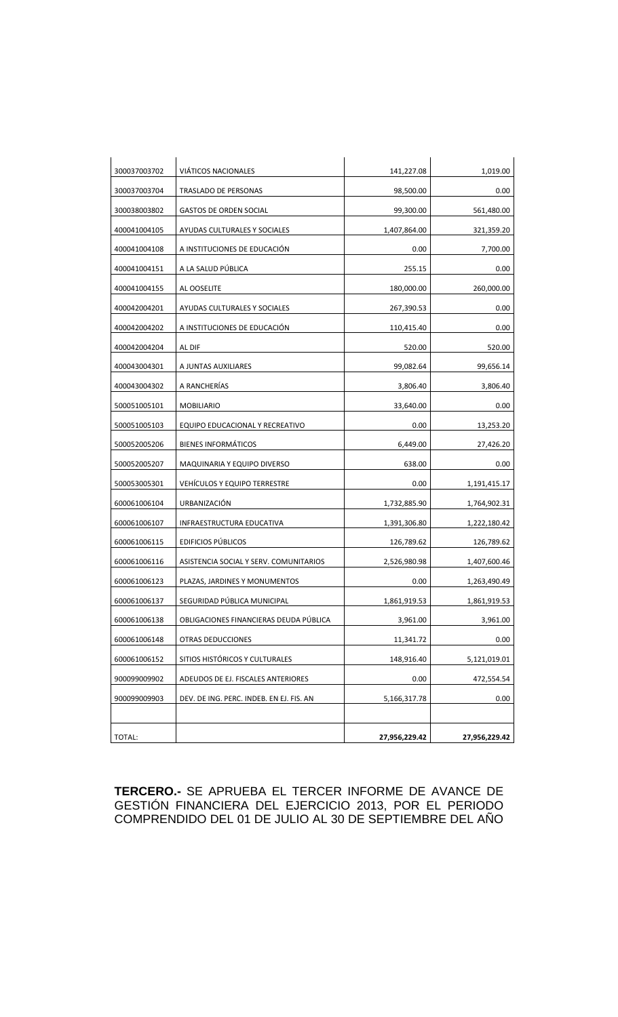| 300037003702 | <b>VIÁTICOS NACIONALES</b>               | 141,227.08    | 1,019.00      |
|--------------|------------------------------------------|---------------|---------------|
| 300037003704 | TRASLADO DE PERSONAS                     | 98,500.00     | 0.00          |
| 300038003802 | <b>GASTOS DE ORDEN SOCIAL</b>            | 99,300.00     | 561,480.00    |
| 400041004105 | AYUDAS CULTURALES Y SOCIALES             | 1,407,864.00  | 321,359.20    |
| 400041004108 | A INSTITUCIONES DE EDUCACIÓN             | 0.00          | 7,700.00      |
| 400041004151 | A LA SALUD PÚBLICA                       | 255.15        | 0.00          |
| 400041004155 | AL OOSELITE                              | 180,000.00    | 260,000.00    |
| 400042004201 | AYUDAS CULTURALES Y SOCIALES             | 267,390.53    | 0.00          |
| 400042004202 | A INSTITUCIONES DE EDUCACIÓN             | 110,415.40    | 0.00          |
| 400042004204 | AL DIF                                   | 520.00        | 520.00        |
| 400043004301 | A JUNTAS AUXILIARES                      | 99,082.64     | 99,656.14     |
| 400043004302 | A RANCHERÍAS                             | 3,806.40      | 3,806.40      |
| 500051005101 | <b>MOBILIARIO</b>                        | 33,640.00     | 0.00          |
| 500051005103 | EQUIPO EDUCACIONAL Y RECREATIVO          | 0.00          | 13,253.20     |
| 500052005206 | <b>BIENES INFORMÁTICOS</b>               | 6,449.00      | 27,426.20     |
| 500052005207 | MAQUINARIA Y EQUIPO DIVERSO              | 638.00        | 0.00          |
| 500053005301 | <b>VEHÍCULOS Y EQUIPO TERRESTRE</b>      | 0.00          | 1,191,415.17  |
| 600061006104 | URBANIZACIÓN                             | 1,732,885.90  | 1,764,902.31  |
| 600061006107 | INFRAESTRUCTURA EDUCATIVA                | 1,391,306.80  | 1,222,180.42  |
| 600061006115 | <b>EDIFICIOS PÚBLICOS</b>                | 126,789.62    | 126,789.62    |
| 600061006116 | ASISTENCIA SOCIAL Y SERV. COMUNITARIOS   | 2,526,980.98  | 1,407,600.46  |
| 600061006123 | PLAZAS, JARDINES Y MONUMENTOS            | 0.00          | 1,263,490.49  |
| 600061006137 | SEGURIDAD PÚBLICA MUNICIPAL              | 1,861,919.53  | 1,861,919.53  |
| 600061006138 | OBLIGACIONES FINANCIERAS DEUDA PÚBLICA   | 3,961.00      | 3,961.00      |
| 600061006148 | <b>OTRAS DEDUCCIONES</b>                 | 11,341.72     | 0.00          |
| 600061006152 | SITIOS HISTÓRICOS Y CULTURALES           | 148,916.40    | 5,121,019.01  |
| 900099009902 | ADEUDOS DE EJ. FISCALES ANTERIORES       | 0.00          | 472,554.54    |
| 900099009903 | DEV. DE ING. PERC. INDEB. EN EJ. FIS. AN | 5,166,317.78  | 0.00          |
|              |                                          |               |               |
| TOTAL:       |                                          | 27,956,229.42 | 27,956,229.42 |

**TERCERO.-** SE APRUEBA EL TERCER INFORME DE AVANCE DE GESTIÓN FINANCIERA DEL EJERCICIO 2013, POR EL PERIODO COMPRENDIDO DEL 01 DE JULIO AL 30 DE SEPTIEMBRE DEL AÑO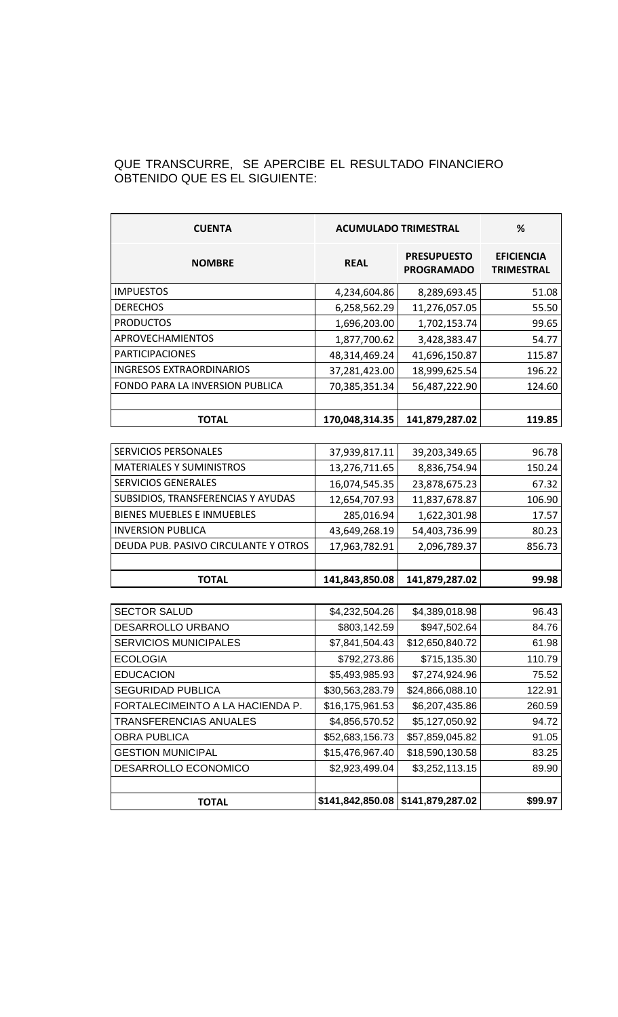## QUE TRANSCURRE, SE APERCIBE EL RESULTADO FINANCIERO OBTENIDO QUE ES EL SIGUIENTE:

| <b>CUENTA</b>                        | <b>ACUMULADO TRIMESTRAL</b> |                                         | %                                      |
|--------------------------------------|-----------------------------|-----------------------------------------|----------------------------------------|
| <b>NOMBRE</b>                        | <b>REAL</b>                 | <b>PRESUPUESTO</b><br><b>PROGRAMADO</b> | <b>EFICIENCIA</b><br><b>TRIMESTRAL</b> |
| <b>IMPUESTOS</b>                     | 4,234,604.86                | 8,289,693.45                            | 51.08                                  |
| <b>DERECHOS</b>                      | 6,258,562.29                | 11,276,057.05                           | 55.50                                  |
| <b>PRODUCTOS</b>                     | 1,696,203.00                | 1,702,153.74                            | 99.65                                  |
| <b>APROVECHAMIENTOS</b>              | 1,877,700.62                | 3,428,383.47                            | 54.77                                  |
| <b>PARTICIPACIONES</b>               | 48,314,469.24               | 41,696,150.87                           | 115.87                                 |
| <b>INGRESOS EXTRAORDINARIOS</b>      | 37,281,423.00               | 18,999,625.54                           | 196.22                                 |
| FONDO PARA LA INVERSION PUBLICA      | 70,385,351.34               | 56,487,222.90                           | 124.60                                 |
|                                      |                             |                                         |                                        |
| <b>TOTAL</b>                         | 170,048,314.35              | 141,879,287.02                          | 119.85                                 |
|                                      |                             |                                         |                                        |
| <b>SERVICIOS PERSONALES</b>          | 37,939,817.11               | 39,203,349.65                           | 96.78                                  |
| <b>MATERIALES Y SUMINISTROS</b>      | 13,276,711.65               | 8,836,754.94                            | 150.24                                 |
| <b>SERVICIOS GENERALES</b>           | 16,074,545.35               | 23,878,675.23                           | 67.32                                  |
| SUBSIDIOS, TRANSFERENCIAS Y AYUDAS   | 12,654,707.93               | 11,837,678.87                           | 106.90                                 |
| <b>BIENES MUEBLES E INMUEBLES</b>    | 285,016.94                  | 1,622,301.98                            | 17.57                                  |
| <b>INVERSION PUBLICA</b>             | 43,649,268.19               | 54,403,736.99                           | 80.23                                  |
| DEUDA PUB. PASIVO CIRCULANTE Y OTROS | 17,963,782.91               | 2,096,789.37                            | 856.73                                 |
|                                      |                             |                                         |                                        |
| <b>TOTAL</b>                         | 141,843,850.08              | 141,879,287.02                          | 99.98                                  |
|                                      |                             |                                         |                                        |
| <b>SECTOR SALUD</b>                  | \$4,232,504.26              | \$4,389,018.98                          | 96.43                                  |
| DESARROLLO URBANO                    | \$803,142.59                | \$947,502.64                            | 84.76                                  |
| <b>SERVICIOS MUNICIPALES</b>         | \$7,841,504.43              | \$12,650,840.72                         | 61.98                                  |
| <b>ECOLOGIA</b>                      | \$792,273.86                | \$715,135.30                            | 110.79                                 |
| <b>EDUCACION</b>                     | \$5,493,985.93              | \$7,274,924.96                          | 75.52                                  |
| <b>SEGURIDAD PUBLICA</b>             | \$30,563,283.79             | \$24,866,088.10                         | 122.91                                 |
| FORTALECIMEINTO A LA HACIENDA P.     | \$16,175,961.53             | \$6,207,435.86                          | 260.59                                 |

TRANSFERENCIAS ANUALES  $\begin{array}{|c|c|c|c|c|c|c|c|} \hline \text{ $$\$4,856,570.52$} & $\text{ $$\$5,127,050.92$} & \text{ $94.72$} \hline \end{array}$ OBRA PUBLICA  $|$ \$52,683,156.73 \$57,859,045.82 91.05 GESTION MUNICIPAL \$15,476,967.40 \$18,590,130.58 83.25 DESARROLLO ECONOMICO \$2,923,499.04 \$3,252,113.15 89.90

**TOTAL \$141,842,850.08 \$141,879,287.02 \$99.97**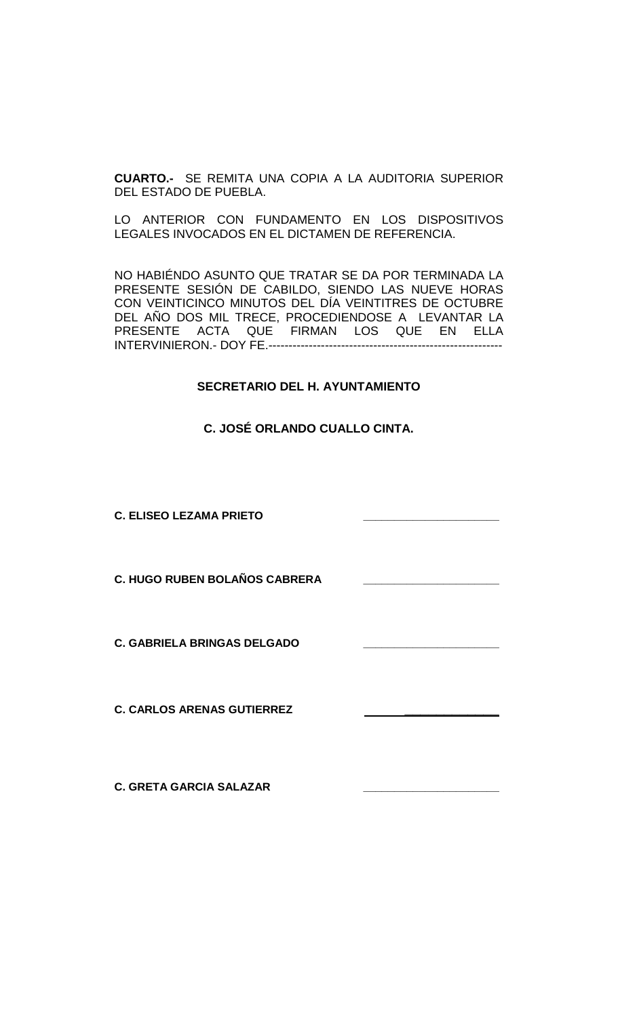**CUARTO.-** SE REMITA UNA COPIA A LA AUDITORIA SUPERIOR DEL ESTADO DE PUEBLA.

LO ANTERIOR CON FUNDAMENTO EN LOS DISPOSITIVOS LEGALES INVOCADOS EN EL DICTAMEN DE REFERENCIA.

NO HABIÉNDO ASUNTO QUE TRATAR SE DA POR TERMINADA LA PRESENTE SESIÓN DE CABILDO, SIENDO LAS NUEVE HORAS CON VEINTICINCO MINUTOS DEL DÍA VEINTITRES DE OCTUBRE DEL AÑO DOS MIL TRECE, PROCEDIENDOSE A LEVANTAR LA PRESENTE ACTA QUE FIRMAN LOS QUE EN ELLA INTERVINIERON.- DOY FE.----------------------------------------------------------

### **SECRETARIO DEL H. AYUNTAMIENTO**

**C. JOSÉ ORLANDO CUALLO CINTA.**

**C. ELISEO LEZAMA PRIETO \_\_\_\_\_\_\_\_\_\_\_\_\_\_\_\_\_\_\_\_\_\_**

**C. HUGO RUBEN BOLAÑOS CABRERA \_\_\_\_\_\_\_\_\_\_\_\_\_\_\_\_\_\_\_\_\_\_**

**C. GABRIELA BRINGAS DELGADO** 

**C. CARLOS ARENAS GUTIERREZ \_\_\_\_\_\_\_\_\_\_\_\_** 

**C. GRETA GARCIA SALAZAR \_\_\_\_\_\_\_\_\_\_\_\_\_\_\_\_\_\_\_\_\_\_**